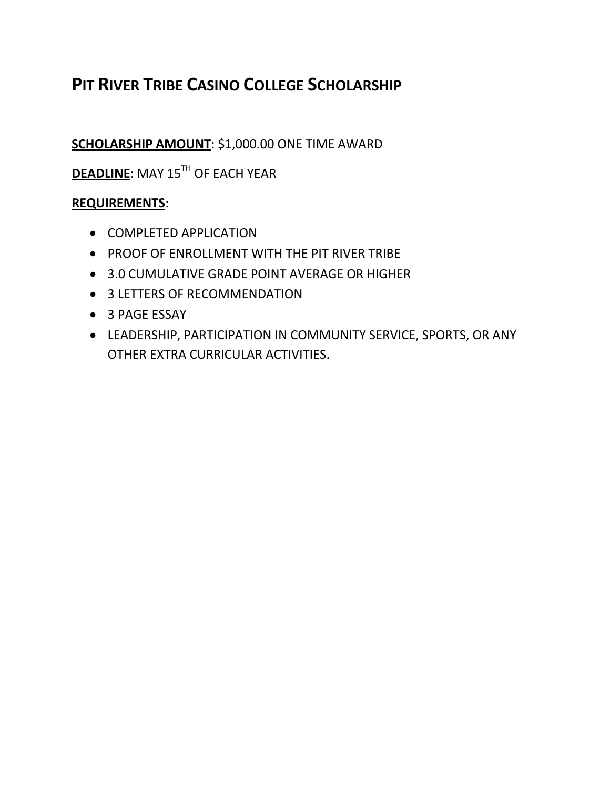# **PIT RIVER TRIBE CASINO COLLEGE SCHOLARSHIP**

## **SCHOLARSHIP AMOUNT**: \$1,000.00 ONE TIME AWARD

**DEADLINE:** MAY 15<sup>TH</sup> OF EACH YEAR

#### **REQUIREMENTS**:

- COMPLETED APPLICATION
- PROOF OF ENROLLMENT WITH THE PIT RIVER TRIBE
- 3.0 CUMULATIVE GRADE POINT AVERAGE OR HIGHER
- 3 LETTERS OF RECOMMENDATION
- 3 PAGE ESSAY
- LEADERSHIP, PARTICIPATION IN COMMUNITY SERVICE, SPORTS, OR ANY OTHER EXTRA CURRICULAR ACTIVITIES.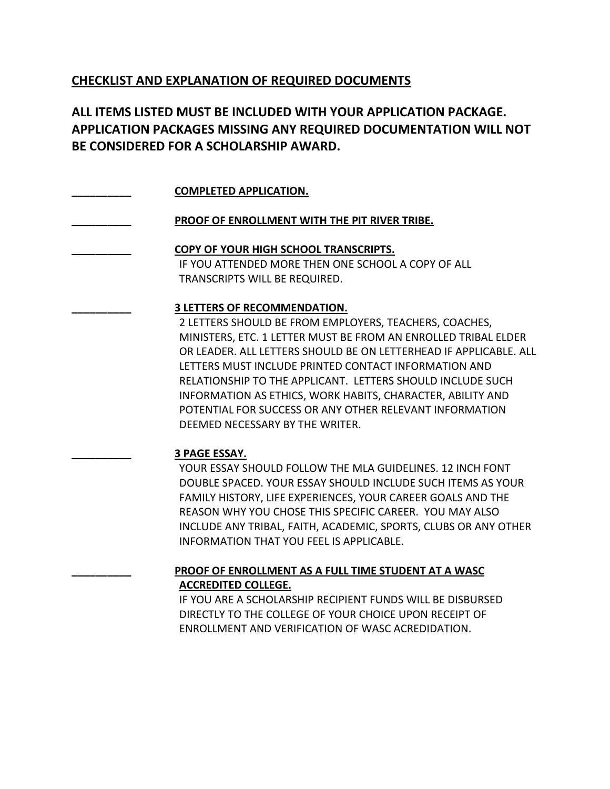#### **CHECKLIST AND EXPLANATION OF REQUIRED DOCUMENTS**

### **ALL ITEMS LISTED MUST BE INCLUDED WITH YOUR APPLICATION PACKAGE. APPLICATION PACKAGES MISSING ANY REQUIRED DOCUMENTATION WILL NOT BE CONSIDERED FOR A SCHOLARSHIP AWARD.**

| <b>COMPLETED APPLICATION.</b>                                     |
|-------------------------------------------------------------------|
| PROOF OF ENROLLMENT WITH THE PIT RIVER TRIBE.                     |
| <b>COPY OF YOUR HIGH SCHOOL TRANSCRIPTS.</b>                      |
| IF YOU ATTENDED MORE THEN ONE SCHOOL A COPY OF ALL                |
| TRANSCRIPTS WILL BE REQUIRED.                                     |
| <b>3 LETTERS OF RECOMMENDATION.</b>                               |
| 2 LETTERS SHOULD BE FROM EMPLOYERS, TEACHERS, COACHES,            |
| MINISTERS, ETC. 1 LETTER MUST BE FROM AN ENROLLED TRIBAL ELDER    |
| OR LEADER. ALL LETTERS SHOULD BE ON LETTERHEAD IF APPLICABLE. ALL |
| LETTERS MUST INCLUDE PRINTED CONTACT INFORMATION AND              |

RELATIONSHIP TO THE APPLICANT. LETTERS SHOULD INCLUDE SUCH INFORMATION AS ETHICS, WORK HABITS, CHARACTER, ABILITY AND POTENTIAL FOR SUCCESS OR ANY OTHER RELEVANT INFORMATION DEEMED NECESSARY BY THE WRITER.

#### **\_\_\_\_\_\_\_\_\_\_ 3 PAGE ESSAY.**

YOUR ESSAY SHOULD FOLLOW THE MLA GUIDELINES. 12 INCH FONT DOUBLE SPACED. YOUR ESSAY SHOULD INCLUDE SUCH ITEMS AS YOUR FAMILY HISTORY, LIFE EXPERIENCES, YOUR CAREER GOALS AND THE REASON WHY YOU CHOSE THIS SPECIFIC CAREER. YOU MAY ALSO INCLUDE ANY TRIBAL, FAITH, ACADEMIC, SPORTS, CLUBS OR ANY OTHER INFORMATION THAT YOU FEEL IS APPLICABLE.

#### **\_\_\_\_\_\_\_\_\_\_ PROOF OF ENROLLMENT AS A FULL TIME STUDENT AT A WASC ACCREDITED COLLEGE.**

IF YOU ARE A SCHOLARSHIP RECIPIENT FUNDS WILL BE DISBURSED DIRECTLY TO THE COLLEGE OF YOUR CHOICE UPON RECEIPT OF ENROLLMENT AND VERIFICATION OF WASC ACREDIDATION.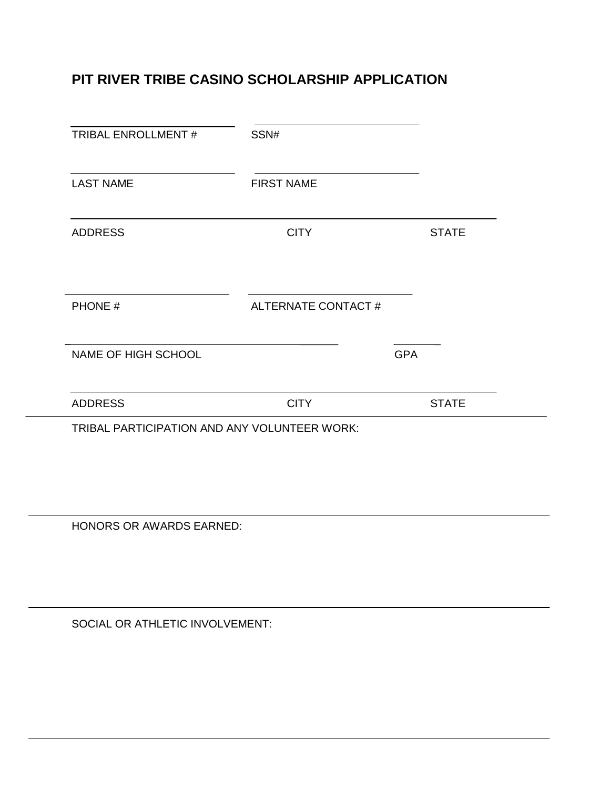## **PIT RIVER TRIBE CASINO SCHOLARSHIP APPLICATION**

| <b>TRIBAL ENROLLMENT#</b>                    | SSN#               |            |              |  |  |
|----------------------------------------------|--------------------|------------|--------------|--|--|
| <b>LAST NAME</b>                             | <b>FIRST NAME</b>  |            |              |  |  |
| <b>ADDRESS</b>                               | <b>CITY</b>        |            | <b>STATE</b> |  |  |
| PHONE #                                      | ALTERNATE CONTACT# |            |              |  |  |
| NAME OF HIGH SCHOOL                          |                    | <b>GPA</b> |              |  |  |
| <b>ADDRESS</b>                               | <b>CITY</b>        |            | <b>STATE</b> |  |  |
| TRIBAL PARTICIPATION AND ANY VOLUNTEER WORK: |                    |            |              |  |  |

HONORS OR AWARDS EARNED:

SOCIAL OR ATHLETIC INVOLVEMENT: